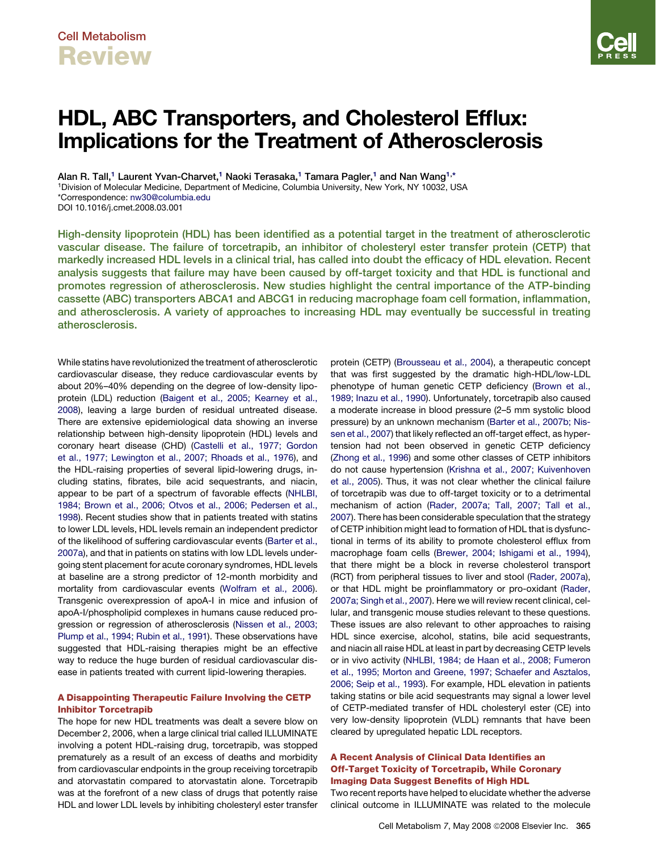# HDL, ABC Transporters, and Cholesterol Efflux: Implications for the Treatment of Atherosclerosis

Alan R. Tall,1 Laurent Yvan-Charvet,1 Naoki Terasaka,1 Tamara Pagler,1 and Nan Wang1.\* 1Division of Molecular Medicine, Department of Medicine, Columbia University, New York, NY 10032, USA \*Correspondence: [nw30@columbia.edu](mailto:nw30@columbia.edu) DOI 10.1016/j.cmet.2008.03.001

High-density lipoprotein (HDL) has been identified as a potential target in the treatment of atherosclerotic vascular disease. The failure of torcetrapib, an inhibitor of cholesteryl ester transfer protein (CETP) that markedly increased HDL levels in a clinical trial, has called into doubt the efficacy of HDL elevation. Recent analysis suggests that failure may have been caused by off-target toxicity and that HDL is functional and promotes regression of atherosclerosis. New studies highlight the central importance of the ATP-binding cassette (ABC) transporters ABCA1 and ABCG1 in reducing macrophage foam cell formation, inflammation, and atherosclerosis. A variety of approaches to increasing HDL may eventually be successful in treating atherosclerosis.

While statins have revolutionized the treatment of atherosclerotic cardiovascular disease, they reduce cardiovascular events by about 20%–40% depending on the degree of low-density lipoprotein (LDL) reduction ([Baigent et al., 2005; Kearney et al.,](#page-7-0) [2008\)](#page-7-0), leaving a large burden of residual untreated disease. There are extensive epidemiological data showing an inverse relationship between high-density lipoprotein (HDL) levels and coronary heart disease (CHD) [\(Castelli et al., 1977; Gordon](#page-7-0) [et al., 1977; Lewington et al., 2007; Rhoads et al., 1976](#page-7-0)), and the HDL-raising properties of several lipid-lowering drugs, including statins, fibrates, bile acid sequestrants, and niacin, appear to be part of a spectrum of favorable effects ([NHLBI,](#page-8-0) [1984; Brown et al., 2006; Otvos et al., 2006; Pedersen et al.,](#page-8-0) [1998\)](#page-8-0). Recent studies show that in patients treated with statins to lower LDL levels, HDL levels remain an independent predictor of the likelihood of suffering cardiovascular events [\(Barter et al.,](#page-7-0) [2007a](#page-7-0)), and that in patients on statins with low LDL levels undergoing stent placement for acute coronary syndromes, HDL levels at baseline are a strong predictor of 12-month morbidity and mortality from cardiovascular events ([Wolfram et al., 2006\)](#page-10-0). Transgenic overexpression of apoA-I in mice and infusion of apoA-I/phospholipid complexes in humans cause reduced progression or regression of atherosclerosis ([Nissen et al., 2003;](#page-9-0) [Plump et al., 1994; Rubin et al., 1991\)](#page-9-0). These observations have suggested that HDL-raising therapies might be an effective way to reduce the huge burden of residual cardiovascular disease in patients treated with current lipid-lowering therapies.

### A Disappointing Therapeutic Failure Involving the CETP Inhibitor Torcetrapib

The hope for new HDL treatments was dealt a severe blow on December 2, 2006, when a large clinical trial called ILLUMINATE involving a potent HDL-raising drug, torcetrapib, was stopped prematurely as a result of an excess of deaths and morbidity from cardiovascular endpoints in the group receiving torcetrapib and atorvastatin compared to atorvastatin alone. Torcetrapib was at the forefront of a new class of drugs that potently raise HDL and lower LDL levels by inhibiting cholesteryl ester transfer protein (CETP) ([Brousseau et al., 2004](#page-7-0)), a therapeutic concept that was first suggested by the dramatic high-HDL/low-LDL phenotype of human genetic CETP deficiency [\(Brown et al.,](#page-7-0) [1989; Inazu et al., 1990\)](#page-7-0). Unfortunately, torcetrapib also caused a moderate increase in blood pressure (2–5 mm systolic blood pressure) by an unknown mechanism [\(Barter et al., 2007b; Nis](#page-7-0)[sen et al., 2007\)](#page-7-0) that likely reflected an off-target effect, as hypertension had not been observed in genetic CETP deficiency [\(Zhong et al., 1996\)](#page-10-0) and some other classes of CETP inhibitors do not cause hypertension [\(Krishna et al., 2007; Kuivenhoven](#page-8-0) [et al., 2005\)](#page-8-0). Thus, it was not clear whether the clinical failure of torcetrapib was due to off-target toxicity or to a detrimental mechanism of action [\(Rader, 2007a; Tall, 2007; Tall et al.,](#page-9-0) [2007\)](#page-9-0). There has been considerable speculation that the strategy of CETP inhibition might lead to formation of HDL that is dysfunctional in terms of its ability to promote cholesterol efflux from macrophage foam cells [\(Brewer, 2004; Ishigami et al., 1994\)](#page-7-0), that there might be a block in reverse cholesterol transport (RCT) from peripheral tissues to liver and stool [\(Rader, 2007a\)](#page-9-0), or that HDL might be proinflammatory or pro-oxidant ([Rader,](#page-9-0) [2007a; Singh et al., 2007](#page-9-0)). Here we will review recent clinical, cellular, and transgenic mouse studies relevant to these questions. These issues are also relevant to other approaches to raising HDL since exercise, alcohol, statins, bile acid sequestrants, and niacin all raise HDL at least in part by decreasing CETP levels or in vivo activity [\(NHLBI, 1984; de Haan et al., 2008; Fumeron](#page-8-0) [et al., 1995; Morton and Greene, 1997; Schaefer and Asztalos,](#page-8-0) [2006; Seip et al., 1993](#page-8-0)). For example, HDL elevation in patients taking statins or bile acid sequestrants may signal a lower level of CETP-mediated transfer of HDL cholesteryl ester (CE) into very low-density lipoprotein (VLDL) remnants that have been cleared by upregulated hepatic LDL receptors.

### A Recent Analysis of Clinical Data Identifies an Off-Target Toxicity of Torcetrapib, While Coronary Imaging Data Suggest Benefits of High HDL

Two recent reports have helped to elucidate whether the adverse clinical outcome in ILLUMINATE was related to the molecule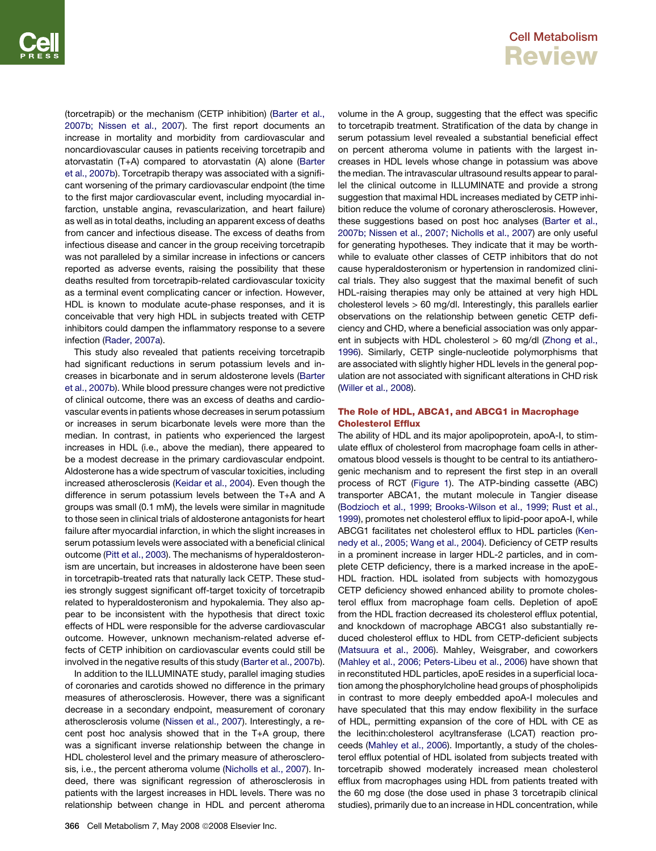(torcetrapib) or the mechanism (CETP inhibition) ([Barter et al.,](#page-7-0) [2007b; Nissen et al., 2007\)](#page-7-0). The first report documents an increase in mortality and morbidity from cardiovascular and noncardiovascular causes in patients receiving torcetrapib and atorvastatin (T+A) compared to atorvastatin (A) alone ([Barter](#page-7-0) [et al., 2007b](#page-7-0)). Torcetrapib therapy was associated with a significant worsening of the primary cardiovascular endpoint (the time to the first major cardiovascular event, including myocardial infarction, unstable angina, revascularization, and heart failure) as well as in total deaths, including an apparent excess of deaths from cancer and infectious disease. The excess of deaths from infectious disease and cancer in the group receiving torcetrapib was not paralleled by a similar increase in infections or cancers reported as adverse events, raising the possibility that these deaths resulted from torcetrapib-related cardiovascular toxicity as a terminal event complicating cancer or infection. However, HDL is known to modulate acute-phase responses, and it is conceivable that very high HDL in subjects treated with CETP inhibitors could dampen the inflammatory response to a severe infection ([Rader, 2007a](#page-9-0)).

This study also revealed that patients receiving torcetrapib had significant reductions in serum potassium levels and increases in bicarbonate and in serum aldosterone levels ([Barter](#page-7-0) [et al., 2007b\)](#page-7-0). While blood pressure changes were not predictive of clinical outcome, there was an excess of deaths and cardiovascular events in patients whose decreases in serum potassium or increases in serum bicarbonate levels were more than the median. In contrast, in patients who experienced the largest increases in HDL (i.e., above the median), there appeared to be a modest decrease in the primary cardiovascular endpoint. Aldosterone has a wide spectrum of vascular toxicities, including increased atherosclerosis [\(Keidar et al., 2004](#page-8-0)). Even though the difference in serum potassium levels between the T+A and A groups was small (0.1 mM), the levels were similar in magnitude to those seen in clinical trials of aldosterone antagonists for heart failure after myocardial infarction, in which the slight increases in serum potassium levels were associated with a beneficial clinical outcome [\(Pitt et al., 2003\)](#page-9-0). The mechanisms of hyperaldosteronism are uncertain, but increases in aldosterone have been seen in torcetrapib-treated rats that naturally lack CETP. These studies strongly suggest significant off-target toxicity of torcetrapib related to hyperaldosteronism and hypokalemia. They also appear to be inconsistent with the hypothesis that direct toxic effects of HDL were responsible for the adverse cardiovascular outcome. However, unknown mechanism-related adverse effects of CETP inhibition on cardiovascular events could still be involved in the negative results of this study ([Barter et al., 2007b](#page-7-0)).

In addition to the ILLUMINATE study, parallel imaging studies of coronaries and carotids showed no difference in the primary measures of atherosclerosis. However, there was a significant decrease in a secondary endpoint, measurement of coronary atherosclerosis volume [\(Nissen et al., 2007\)](#page-9-0). Interestingly, a recent post hoc analysis showed that in the T+A group, there was a significant inverse relationship between the change in HDL cholesterol level and the primary measure of atherosclerosis, i.e., the percent atheroma volume [\(Nicholls et al., 2007\)](#page-8-0). Indeed, there was significant regression of atherosclerosis in patients with the largest increases in HDL levels. There was no relationship between change in HDL and percent atheroma

volume in the A group, suggesting that the effect was specific to torcetrapib treatment. Stratification of the data by change in serum potassium level revealed a substantial beneficial effect on percent atheroma volume in patients with the largest increases in HDL levels whose change in potassium was above the median. The intravascular ultrasound results appear to parallel the clinical outcome in ILLUMINATE and provide a strong suggestion that maximal HDL increases mediated by CETP inhibition reduce the volume of coronary atherosclerosis. However, these suggestions based on post hoc analyses [\(Barter et al.,](#page-7-0) [2007b; Nissen et al., 2007; Nicholls et al., 2007\)](#page-7-0) are only useful for generating hypotheses. They indicate that it may be worthwhile to evaluate other classes of CETP inhibitors that do not cause hyperaldosteronism or hypertension in randomized clinical trials. They also suggest that the maximal benefit of such HDL-raising therapies may only be attained at very high HDL cholesterol levels > 60 mg/dl. Interestingly, this parallels earlier observations on the relationship between genetic CETP deficiency and CHD, where a beneficial association was only apparent in subjects with HDL cholesterol > 60 mg/dl [\(Zhong et al.,](#page-10-0) [1996\)](#page-10-0). Similarly, CETP single-nucleotide polymorphisms that are associated with slightly higher HDL levels in the general population are not associated with significant alterations in CHD risk [\(Willer et al., 2008](#page-10-0)).

#### The Role of HDL, ABCA1, and ABCG1 in Macrophage Cholesterol Efflux

The ability of HDL and its major apolipoprotein, apoA-I, to stimulate efflux of cholesterol from macrophage foam cells in atheromatous blood vessels is thought to be central to its antiatherogenic mechanism and to represent the first step in an overall process of RCT [\(Figure 1](#page-2-0)). The ATP-binding cassette (ABC) transporter ABCA1, the mutant molecule in Tangier disease [\(Bodzioch et al., 1999; Brooks-Wilson et al., 1999; Rust et al.,](#page-7-0) [1999\)](#page-7-0), promotes net cholesterol efflux to lipid-poor apoA-I, while ABCG1 facilitates net cholesterol efflux to HDL particles ([Ken](#page-8-0)[nedy et al., 2005; Wang et al., 2004](#page-8-0)). Deficiency of CETP results in a prominent increase in larger HDL-2 particles, and in complete CETP deficiency, there is a marked increase in the apoE-HDL fraction. HDL isolated from subjects with homozygous CETP deficiency showed enhanced ability to promote cholesterol efflux from macrophage foam cells. Depletion of apoE from the HDL fraction decreased its cholesterol efflux potential, and knockdown of macrophage ABCG1 also substantially reduced cholesterol efflux to HDL from CETP-deficient subjects [\(Matsuura et al., 2006\)](#page-8-0). Mahley, Weisgraber, and coworkers [\(Mahley et al., 2006; Peters-Libeu et al., 2006\)](#page-8-0) have shown that in reconstituted HDL particles, apoE resides in a superficial location among the phosphorylcholine head groups of phospholipids in contrast to more deeply embedded apoA-I molecules and have speculated that this may endow flexibility in the surface of HDL, permitting expansion of the core of HDL with CE as the lecithin:cholesterol acyltransferase (LCAT) reaction proceeds ([Mahley et al., 2006](#page-8-0)). Importantly, a study of the cholesterol efflux potential of HDL isolated from subjects treated with torcetrapib showed moderately increased mean cholesterol efflux from macrophages using HDL from patients treated with the 60 mg dose (the dose used in phase 3 torcetrapib clinical studies), primarily due to an increase in HDL concentration, while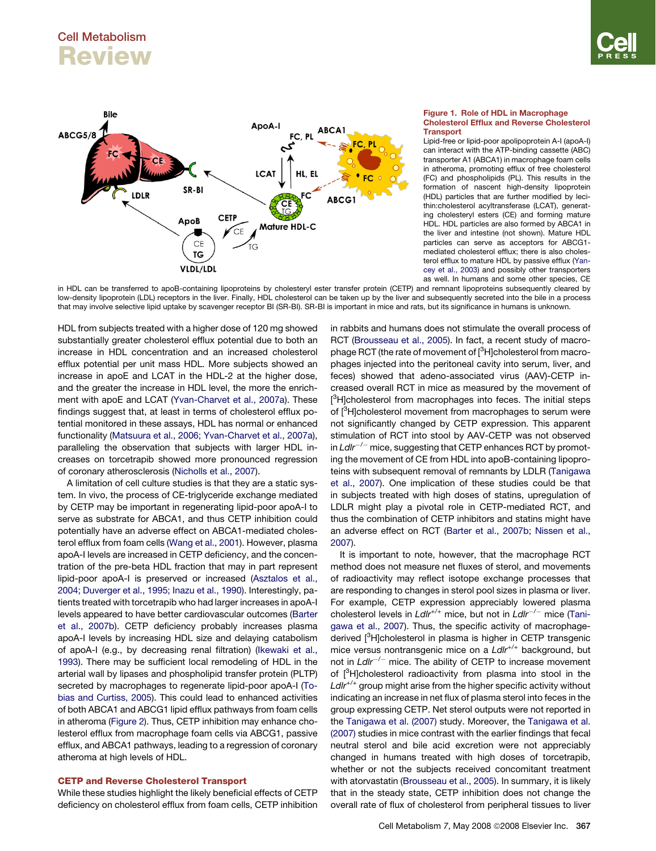<span id="page-2-0"></span>

#### Figure 1. Role of HDL in Macrophage Cholesterol Efflux and Reverse Cholesterol **Transport**

Lipid-free or lipid-poor apolipoprotein A-I (apoA-I) can interact with the ATP-binding cassette (ABC) transporter A1 (ABCA1) in macrophage foam cells in atheroma, promoting efflux of free cholesterol (FC) and phospholipids (PL). This results in the formation of nascent high-density lipoprotein (HDL) particles that are further modified by lecithin:cholesterol acyltransferase (LCAT), generating cholesteryl esters (CE) and forming mature HDL. HDL particles are also formed by ABCA1 in the liver and intestine (not shown). Mature HDL particles can serve as acceptors for ABCG1 mediated cholesterol efflux; there is also cholesterol efflux to mature HDL by passive efflux [\(Yan](#page-10-0)[cey et al., 2003](#page-10-0)) and possibly other transporters as well. In humans and some other species, CE

in HDL can be transferred to apoB-containing lipoproteins by cholesteryl ester transfer protein (CETP) and remnant lipoproteins subsequently cleared by low-density lipoprotein (LDL) receptors in the liver. Finally, HDL cholesterol can be taken up by the liver and subsequently secreted into the bile in a process that may involve selective lipid uptake by scavenger receptor BI (SR-BI). SR-BI is important in mice and rats, but its significance in humans is unknown.

HDL from subjects treated with a higher dose of 120 mg showed substantially greater cholesterol efflux potential due to both an increase in HDL concentration and an increased cholesterol efflux potential per unit mass HDL. More subjects showed an increase in apoE and LCAT in the HDL-2 at the higher dose, and the greater the increase in HDL level, the more the enrichment with apoE and LCAT ([Yvan-Charvet et al., 2007a\)](#page-10-0). These findings suggest that, at least in terms of cholesterol efflux potential monitored in these assays, HDL has normal or enhanced functionality [\(Matsuura et al., 2006; Yvan-Charvet et al., 2007a\)](#page-8-0), paralleling the observation that subjects with larger HDL increases on torcetrapib showed more pronounced regression of coronary atherosclerosis ([Nicholls et al., 2007\)](#page-8-0).

A limitation of cell culture studies is that they are a static system. In vivo, the process of CE-triglyceride exchange mediated by CETP may be important in regenerating lipid-poor apoA-I to serve as substrate for ABCA1, and thus CETP inhibition could potentially have an adverse effect on ABCA1-mediated cholesterol efflux from foam cells ([Wang et al., 2001](#page-10-0)). However, plasma apoA-I levels are increased in CETP deficiency, and the concentration of the pre-beta HDL fraction that may in part represent lipid-poor apoA-I is preserved or increased ([Asztalos et al.,](#page-7-0) [2004; Duverger et al., 1995; Inazu et al., 1990](#page-7-0)). Interestingly, patients treated with torcetrapib who had larger increases in apoA-I levels appeared to have better cardiovascular outcomes ([Barter](#page-7-0) [et al., 2007b](#page-7-0)). CETP deficiency probably increases plasma apoA-I levels by increasing HDL size and delaying catabolism of apoA-I (e.g., by decreasing renal filtration) [\(Ikewaki et al.,](#page-8-0) [1993\)](#page-8-0). There may be sufficient local remodeling of HDL in the arterial wall by lipases and phospholipid transfer protein (PLTP) secreted by macrophages to regenerate lipid-poor apoA-I [\(To](#page-10-0)[bias and Curtiss, 2005](#page-10-0)). This could lead to enhanced activities of both ABCA1 and ABCG1 lipid efflux pathways from foam cells in atheroma [\(Figure 2\)](#page-3-0). Thus, CETP inhibition may enhance cholesterol efflux from macrophage foam cells via ABCG1, passive efflux, and ABCA1 pathways, leading to a regression of coronary atheroma at high levels of HDL.

### CETP and Reverse Cholesterol Transport

While these studies highlight the likely beneficial effects of CETP deficiency on cholesterol efflux from foam cells, CETP inhibition in rabbits and humans does not stimulate the overall process of RCT ([Brousseau et al., 2005\)](#page-7-0). In fact, a recent study of macrophage RCT (the rate of movement of [<sup>3</sup>H]cholesterol from macrophages injected into the peritoneal cavity into serum, liver, and feces) showed that adeno-associated virus (AAV)-CETP increased overall RCT in mice as measured by the movement of [<sup>3</sup>H]cholesterol from macrophages into feces. The initial steps of [<sup>3</sup>H]cholesterol movement from macrophages to serum were not significantly changed by CETP expression. This apparent stimulation of RCT into stool by AAV-CETP was not observed in *Ldlr<sup>-/-</sup>* mice, suggesting that CETP enhances RCT by promoting the movement of CE from HDL into apoB-containing lipoproteins with subsequent removal of remnants by LDLR ([Tanigawa](#page-9-0) [et al., 2007](#page-9-0)). One implication of these studies could be that in subjects treated with high doses of statins, upregulation of LDLR might play a pivotal role in CETP-mediated RCT, and thus the combination of CETP inhibitors and statins might have an adverse effect on RCT ([Barter et al., 2007b; Nissen et al.,](#page-7-0) [2007\)](#page-7-0).

It is important to note, however, that the macrophage RCT method does not measure net fluxes of sterol, and movements of radioactivity may reflect isotope exchange processes that are responding to changes in sterol pool sizes in plasma or liver. For example, CETP expression appreciably lowered plasma cholesterol levels in *LdIr<sup>+/+</sup>* mice, but not in *LdIr<sup>-/-</sup>* mice [\(Tani](#page-9-0)[gawa et al., 2007\)](#page-9-0). Thus, the specific activity of macrophagederived [<sup>3</sup>H]cholesterol in plasma is higher in CETP transgenic mice versus nontransgenic mice on a *Ldlr*+/+ background, but not in *Ldlr<sup>-/-</sup>* mice. The ability of CETP to increase movement of [<sup>3</sup>H]cholesterol radioactivity from plasma into stool in the Ldlr<sup>+/+</sup> group might arise from the higher specific activity without indicating an increase in net flux of plasma sterol into feces in the group expressing CETP. Net sterol outputs were not reported in the [Tanigawa et al. \(2007\)](#page-9-0) study. Moreover, the [Tanigawa et al.](#page-9-0) [\(2007\)](#page-9-0) studies in mice contrast with the earlier findings that fecal neutral sterol and bile acid excretion were not appreciably changed in humans treated with high doses of torcetrapib, whether or not the subjects received concomitant treatment with atorvastatin ([Brousseau et al., 2005\)](#page-7-0). In summary, it is likely that in the steady state, CETP inhibition does not change the overall rate of flux of cholesterol from peripheral tissues to liver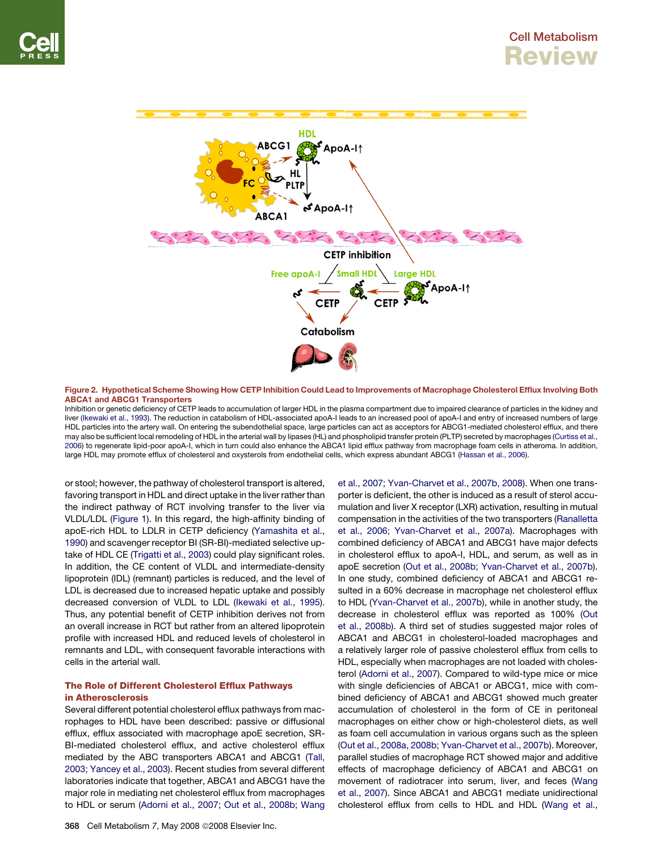

<span id="page-3-0"></span>

Figure 2. Hypothetical Scheme Showing How CETP Inhibition Could Lead to Improvements of Macrophage Cholesterol Efflux Involving Both ABCA1 and ABCG1 Transporters

Inhibition or genetic deficiency of CETP leads to accumulation of larger HDL in the plasma compartment due to impaired clearance of particles in the kidney and liver [\(Ikewaki et al., 1993\)](#page-8-0). The reduction in catabolism of HDL-associated apoA-I leads to an increased pool of apoA-I and entry of increased numbers of large HDL particles into the artery wall. On entering the subendothelial space, large particles can act as acceptors for ABCG1-mediated cholesterol efflux, and there may also be sufficient local remodeling of HDL in the arterial wall by lipases (HL) and phospholipid transfer protein (PLTP) secreted by macrophages [\(Curtiss et al.,](#page-8-0) [2006](#page-8-0)) to regenerate lipid-poor apoA-I, which in turn could also enhance the ABCA1 lipid efflux pathway from macrophage foam cells in atheroma. In addition, large HDL may promote efflux of cholesterol and oxysterols from endothelial cells, which express abundant ABCG1 [\(Hassan et al., 2006](#page-8-0)).

or stool; however, the pathway of cholesterol transport is altered, favoring transport in HDL and direct uptake in the liver rather than the indirect pathway of RCT involving transfer to the liver via VLDL/LDL ([Figure 1\)](#page-2-0). In this regard, the high-affinity binding of apoE-rich HDL to LDLR in CETP deficiency ([Yamashita et al.,](#page-10-0) [1990](#page-10-0)) and scavenger receptor BI (SR-BI)-mediated selective uptake of HDL CE [\(Trigatti et al., 2003](#page-10-0)) could play significant roles. In addition, the CE content of VLDL and intermediate-density lipoprotein (IDL) (remnant) particles is reduced, and the level of LDL is decreased due to increased hepatic uptake and possibly decreased conversion of VLDL to LDL [\(Ikewaki et al., 1995](#page-8-0)). Thus, any potential benefit of CETP inhibition derives not from an overall increase in RCT but rather from an altered lipoprotein profile with increased HDL and reduced levels of cholesterol in remnants and LDL, with consequent favorable interactions with cells in the arterial wall.

#### The Role of Different Cholesterol Efflux Pathways in Atherosclerosis

Several different potential cholesterol efflux pathways from macrophages to HDL have been described: passive or diffusional efflux, efflux associated with macrophage apoE secretion, SR-BI-mediated cholesterol efflux, and active cholesterol efflux mediated by the ABC transporters ABCA1 and ABCG1 [\(Tall,](#page-9-0) [2003; Yancey et al., 2003](#page-9-0)). Recent studies from several different laboratories indicate that together, ABCA1 and ABCG1 have the major role in mediating net cholesterol efflux from macrophages to HDL or serum ([Adorni et al., 2007; Out et al., 2008b; Wang](#page-7-0)

[et al., 2007; Yvan-Charvet et al., 2007b, 2008\)](#page-7-0). When one transporter is deficient, the other is induced as a result of sterol accumulation and liver X receptor (LXR) activation, resulting in mutual compensation in the activities of the two transporters [\(Ranalletta](#page-9-0) [et al., 2006; Yvan-Charvet et al., 2007a](#page-9-0)). Macrophages with combined deficiency of ABCA1 and ABCG1 have major defects in cholesterol efflux to apoA-I, HDL, and serum, as well as in apoE secretion [\(Out et al., 2008b; Yvan-Charvet et al., 2007b](#page-9-0)). In one study, combined deficiency of ABCA1 and ABCG1 resulted in a 60% decrease in macrophage net cholesterol efflux to HDL [\(Yvan-Charvet et al., 2007b](#page-10-0)), while in another study, the decrease in cholesterol efflux was reported as 100% [\(Out](#page-9-0) [et al., 2008b\)](#page-9-0). A third set of studies suggested major roles of ABCA1 and ABCG1 in cholesterol-loaded macrophages and a relatively larger role of passive cholesterol efflux from cells to HDL, especially when macrophages are not loaded with cholesterol ([Adorni et al., 2007](#page-7-0)). Compared to wild-type mice or mice with single deficiencies of ABCA1 or ABCG1, mice with combined deficiency of ABCA1 and ABCG1 showed much greater accumulation of cholesterol in the form of CE in peritoneal macrophages on either chow or high-cholesterol diets, as well as foam cell accumulation in various organs such as the spleen [\(Out et al., 2008a, 2008b; Yvan-Charvet et al., 2007b](#page-9-0)). Moreover, parallel studies of macrophage RCT showed major and additive effects of macrophage deficiency of ABCA1 and ABCG1 on movement of radiotracer into serum, liver, and feces ([Wang](#page-10-0) [et al., 2007](#page-10-0)). Since ABCA1 and ABCG1 mediate unidirectional cholesterol efflux from cells to HDL and HDL ([Wang et al.,](#page-10-0)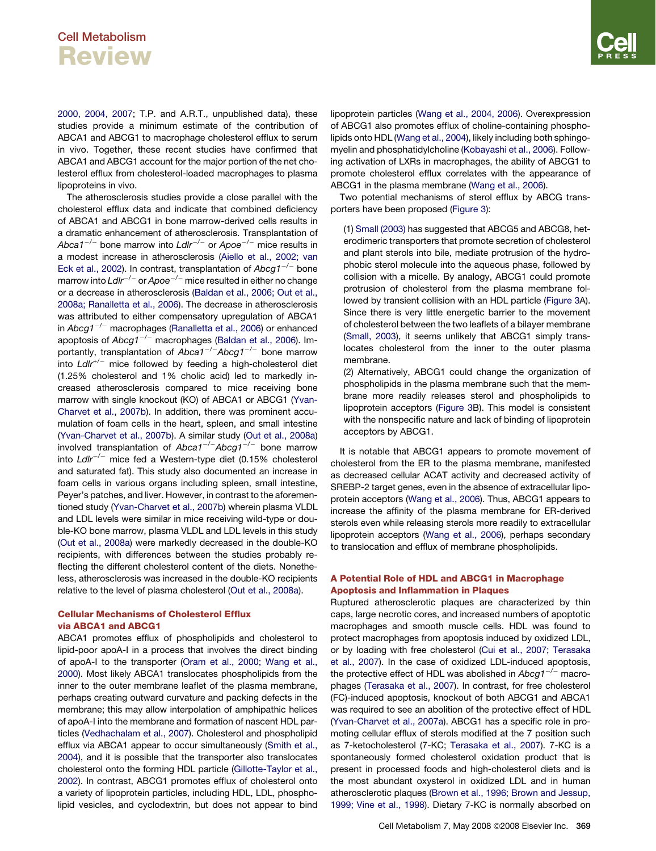[2000, 2004, 2007](#page-10-0); T.P. and A.R.T., unpublished data), these studies provide a minimum estimate of the contribution of ABCA1 and ABCG1 to macrophage cholesterol efflux to serum in vivo. Together, these recent studies have confirmed that ABCA1 and ABCG1 account for the major portion of the net cholesterol efflux from cholesterol-loaded macrophages to plasma lipoproteins in vivo.

The atherosclerosis studies provide a close parallel with the cholesterol efflux data and indicate that combined deficiency of ABCA1 and ABCG1 in bone marrow-derived cells results in a dramatic enhancement of atherosclerosis. Transplantation of Abca1<sup>-/-</sup> bone marrow into Ldlr<sup>-/-</sup> or Apoe<sup>-/-</sup> mice results in a modest increase in atherosclerosis [\(Aiello et al., 2002; van](#page-7-0) [Eck et al., 2002](#page-7-0)). In contrast, transplantation of *Abcg1<sup>-/-</sup>* bone marrow into *Ldlr<sup>–/–</sup> or Apoe<sup>–/–</sup> mice resulted in either no change* or a decrease in atherosclerosis ([Baldan et al., 2006; Out et al.,](#page-7-0) [2008a; Ranalletta et al., 2006](#page-7-0)). The decrease in atherosclerosis was attributed to either compensatory upregulation of ABCA1 in *Abcg1*-/- macrophages ([Ranalletta et al., 2006](#page-9-0)) or enhanced apoptosis of *Abcg1<sup>-/-</sup> macrophages ([Baldan et al., 2006](#page-7-0)).* Importantly, transplantation of *Abca1*-/-*Abcg1*-/- bone marrow into Ldlr<sup>+/-</sup> mice followed by feeding a high-cholesterol diet (1.25% cholesterol and 1% cholic acid) led to markedly increased atherosclerosis compared to mice receiving bone marrow with single knockout (KO) of ABCA1 or ABCG1 ([Yvan-](#page-10-0)[Charvet et al., 2007b](#page-10-0)). In addition, there was prominent accumulation of foam cells in the heart, spleen, and small intestine [\(Yvan-Charvet et al., 2007b\)](#page-10-0). A similar study [\(Out et al., 2008a\)](#page-9-0) involved transplantation of *Abca1<sup>-/-</sup>Abcg1<sup>-/-</sup>* bone marrow into *Ldlr*-/- mice fed a Western-type diet (0.15% cholesterol and saturated fat). This study also documented an increase in foam cells in various organs including spleen, small intestine, Peyer's patches, and liver. However, in contrast to the aforementioned study [\(Yvan-Charvet et al., 2007b](#page-10-0)) wherein plasma VLDL and LDL levels were similar in mice receiving wild-type or double-KO bone marrow, plasma VLDL and LDL levels in this study [\(Out et al., 2008a\)](#page-9-0) were markedly decreased in the double-KO recipients, with differences between the studies probably reflecting the different cholesterol content of the diets. Nonetheless, atherosclerosis was increased in the double-KO recipients relative to the level of plasma cholesterol [\(Out et al., 2008a\)](#page-9-0).

### Cellular Mechanisms of Cholesterol Efflux via ABCA1 and ABCG1

ABCA1 promotes efflux of phospholipids and cholesterol to lipid-poor apoA-I in a process that involves the direct binding of apoA-I to the transporter [\(Oram et al., 2000; Wang et al.,](#page-9-0) [2000\)](#page-9-0). Most likely ABCA1 translocates phospholipids from the inner to the outer membrane leaflet of the plasma membrane, perhaps creating outward curvature and packing defects in the membrane; this may allow interpolation of amphipathic helices of apoA-I into the membrane and formation of nascent HDL particles ([Vedhachalam et al., 2007\)](#page-10-0). Cholesterol and phospholipid efflux via ABCA1 appear to occur simultaneously [\(Smith et al.,](#page-9-0) [2004\)](#page-9-0), and it is possible that the transporter also translocates cholesterol onto the forming HDL particle [\(Gillotte-Taylor et al.,](#page-8-0) [2002\)](#page-8-0). In contrast, ABCG1 promotes efflux of cholesterol onto a variety of lipoprotein particles, including HDL, LDL, phospholipid vesicles, and cyclodextrin, but does not appear to bind lipoprotein particles [\(Wang et al., 2004, 2006](#page-10-0)). Overexpression of ABCG1 also promotes efflux of choline-containing phospholipids onto HDL ([Wang et al., 2004\)](#page-10-0), likely including both sphingomyelin and phosphatidylcholine [\(Kobayashi et al., 2006\)](#page-8-0). Following activation of LXRs in macrophages, the ability of ABCG1 to promote cholesterol efflux correlates with the appearance of ABCG1 in the plasma membrane [\(Wang et al., 2006\)](#page-10-0).

Two potential mechanisms of sterol efflux by ABCG transporters have been proposed [\(Figure 3\)](#page-5-0):

(1) [Small \(2003\)](#page-9-0) has suggested that ABCG5 and ABCG8, heterodimeric transporters that promote secretion of cholesterol and plant sterols into bile, mediate protrusion of the hydrophobic sterol molecule into the aqueous phase, followed by collision with a micelle. By analogy, ABCG1 could promote protrusion of cholesterol from the plasma membrane followed by transient collision with an HDL particle [\(Figure 3](#page-5-0)A). Since there is very little energetic barrier to the movement of cholesterol between the two leaflets of a bilayer membrane [\(Small, 2003](#page-9-0)), it seems unlikely that ABCG1 simply translocates cholesterol from the inner to the outer plasma membrane.

(2) Alternatively, ABCG1 could change the organization of phospholipids in the plasma membrane such that the membrane more readily releases sterol and phospholipids to lipoprotein acceptors [\(Figure 3B](#page-5-0)). This model is consistent with the nonspecific nature and lack of binding of lipoprotein acceptors by ABCG1.

It is notable that ABCG1 appears to promote movement of cholesterol from the ER to the plasma membrane, manifested as decreased cellular ACAT activity and decreased activity of SREBP-2 target genes, even in the absence of extracellular lipoprotein acceptors [\(Wang et al., 2006\)](#page-10-0). Thus, ABCG1 appears to increase the affinity of the plasma membrane for ER-derived sterols even while releasing sterols more readily to extracellular lipoprotein acceptors [\(Wang et al., 2006](#page-10-0)), perhaps secondary to translocation and efflux of membrane phospholipids.

### A Potential Role of HDL and ABCG1 in Macrophage Apoptosis and Inflammation in Plaques

Ruptured atherosclerotic plaques are characterized by thin caps, large necrotic cores, and increased numbers of apoptotic macrophages and smooth muscle cells. HDL was found to protect macrophages from apoptosis induced by oxidized LDL, or by loading with free cholesterol ([Cui et al., 2007; Terasaka](#page-7-0) [et al., 2007\)](#page-7-0). In the case of oxidized LDL-induced apoptosis, the protective effect of HDL was abolished in *Abcg1<sup>-/-</sup> m*acrophages [\(Terasaka et al., 2007\)](#page-10-0). In contrast, for free cholesterol (FC)-induced apoptosis, knockout of both ABCG1 and ABCA1 was required to see an abolition of the protective effect of HDL [\(Yvan-Charvet et al., 2007a\)](#page-10-0). ABCG1 has a specific role in promoting cellular efflux of sterols modified at the 7 position such as 7-ketocholesterol (7-KC; [Terasaka et al., 2007](#page-10-0)). 7-KC is a spontaneously formed cholesterol oxidation product that is present in processed foods and high-cholesterol diets and is the most abundant oxysterol in oxidized LDL and in human atherosclerotic plaques [\(Brown et al., 1996; Brown and Jessup,](#page-7-0) [1999; Vine et al., 1998\)](#page-7-0). Dietary 7-KC is normally absorbed on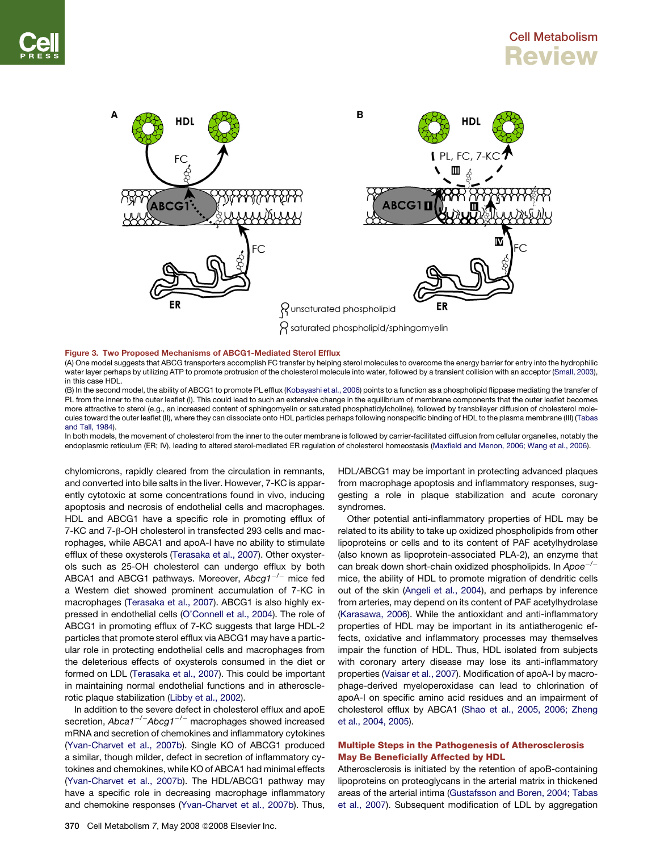<span id="page-5-0"></span>

#### Figure 3. Two Proposed Mechanisms of ABCG1-Mediated Sterol Efflux

(A) One model suggests that ABCG transporters accomplish FC transfer by helping sterol molecules to overcome the energy barrier for entry into the hydrophilic water layer perhaps by utilizing ATP to promote protrusion of the cholesterol molecule into water, followed by a transient collision with an acceptor ([Small, 2003](#page-9-0)), in this case HDL.

(B) In the second model, the ability of ABCG1 to promote PL efflux [\(Kobayashi et al., 2006\)](#page-8-0) points to a function as a phospholipid flippase mediating the transfer of PL from the inner to the outer leaflet (I). This could lead to such an extensive change in the equilibrium of membrane components that the outer leaflet becomes more attractive to sterol (e.g., an increased content of sphingomyelin or saturated phosphatidylcholine), followed by transbilayer diffusion of cholesterol molecules toward the outer leaflet (II), where they can dissociate onto HDL particles perhaps following nonspecific binding of HDL to the plasma membrane (III) ([Tabas](#page-9-0) [and Tall, 1984\)](#page-9-0).

In both models, the movement of cholesterol from the inner to the outer membrane is followed by carrier-facilitated diffusion from cellular organelles, notably the endoplasmic reticulum (ER; IV), leading to altered sterol-mediated ER regulation of cholesterol homeostasis [\(Maxfield and Menon, 2006; Wang et al., 2006\)](#page-8-0).

chylomicrons, rapidly cleared from the circulation in remnants, and converted into bile salts in the liver. However, 7-KC is apparently cytotoxic at some concentrations found in vivo, inducing apoptosis and necrosis of endothelial cells and macrophages. HDL and ABCG1 have a specific role in promoting efflux of 7-KC and 7-β-OH cholesterol in transfected 293 cells and macrophages, while ABCA1 and apoA-I have no ability to stimulate efflux of these oxysterols ([Terasaka et al., 2007](#page-10-0)). Other oxysterols such as 25-OH cholesterol can undergo efflux by both ABCA1 and ABCG1 pathways. Moreover, Abcg1<sup>-/-</sup> mice fed a Western diet showed prominent accumulation of 7-KC in macrophages ([Terasaka et al., 2007](#page-10-0)). ABCG1 is also highly expressed in endothelial cells [\(O'Connell et al., 2004\)](#page-9-0). The role of ABCG1 in promoting efflux of 7-KC suggests that large HDL-2 particles that promote sterol efflux via ABCG1 may have a particular role in protecting endothelial cells and macrophages from the deleterious effects of oxysterols consumed in the diet or formed on LDL ([Terasaka et al., 2007](#page-10-0)). This could be important in maintaining normal endothelial functions and in atherosclerotic plaque stabilization [\(Libby et al., 2002](#page-8-0)).

In addition to the severe defect in cholesterol efflux and apoE secretion, *Abca1<sup>-/-</sup>Abcg1<sup>-/-</sup> macrophages showed increased* mRNA and secretion of chemokines and inflammatory cytokines ([Yvan-Charvet et al., 2007b](#page-10-0)). Single KO of ABCG1 produced a similar, though milder, defect in secretion of inflammatory cytokines and chemokines, while KO of ABCA1 had minimal effects ([Yvan-Charvet et al., 2007b\)](#page-10-0). The HDL/ABCG1 pathway may have a specific role in decreasing macrophage inflammatory and chemokine responses ([Yvan-Charvet et al., 2007b](#page-10-0)). Thus,

HDL/ABCG1 may be important in protecting advanced plaques from macrophage apoptosis and inflammatory responses, suggesting a role in plaque stabilization and acute coronary syndromes.

Other potential anti-inflammatory properties of HDL may be related to its ability to take up oxidized phospholipids from other lipoproteins or cells and to its content of PAF acetylhydrolase (also known as lipoprotein-associated PLA-2), an enzyme that can break down short-chain oxidized phospholipids. In *Apoe*-/ mice, the ability of HDL to promote migration of dendritic cells out of the skin ([Angeli et al., 2004\)](#page-7-0), and perhaps by inference from arteries, may depend on its content of PAF acetylhydrolase [\(Karasawa, 2006\)](#page-8-0). While the antioxidant and anti-inflammatory properties of HDL may be important in its antiatherogenic effects, oxidative and inflammatory processes may themselves impair the function of HDL. Thus, HDL isolated from subjects with coronary artery disease may lose its anti-inflammatory properties [\(Vaisar et al., 2007\)](#page-10-0). Modification of apoA-I by macrophage-derived myeloperoxidase can lead to chlorination of apoA-I on specific amino acid residues and an impairment of cholesterol efflux by ABCA1 ([Shao et al., 2005, 2006; Zheng](#page-9-0) [et al., 2004, 2005](#page-9-0)).

#### Multiple Steps in the Pathogenesis of Atherosclerosis May Be Beneficially Affected by HDL

Atherosclerosis is initiated by the retention of apoB-containing lipoproteins on proteoglycans in the arterial matrix in thickened areas of the arterial intima ([Gustafsson and Boren, 2004; Tabas](#page-8-0) [et al., 2007](#page-8-0)). Subsequent modification of LDL by aggregation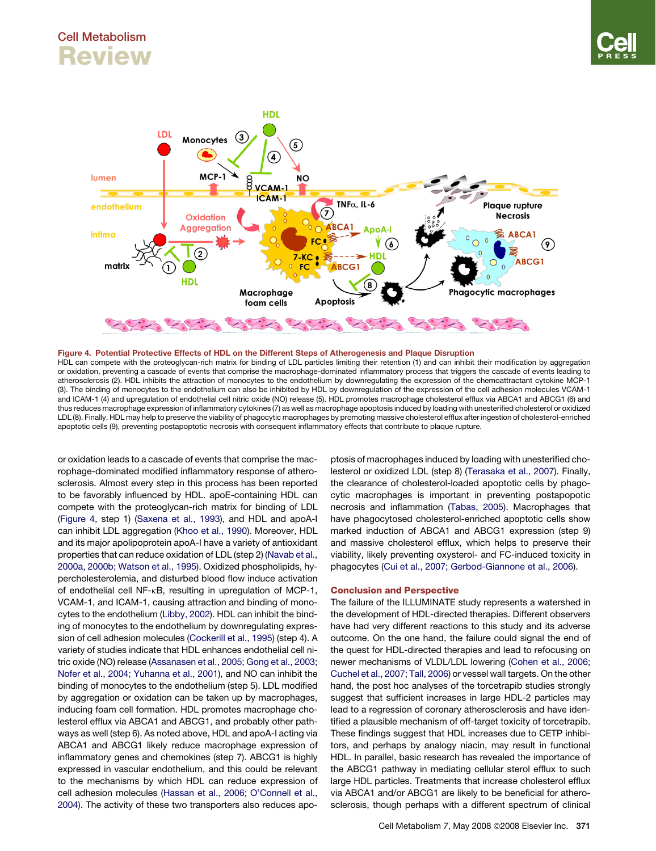

Figure 4. Potential Protective Effects of HDL on the Different Steps of Atherogenesis and Plaque Disruption

HDL can compete with the proteoglycan-rich matrix for binding of LDL particles limiting their retention (1) and can inhibit their modification by aggregation or oxidation, preventing a cascade of events that comprise the macrophage-dominated inflammatory process that triggers the cascade of events leading to atherosclerosis (2). HDL inhibits the attraction of monocytes to the endothelium by downregulating the expression of the chemoattractant cytokine MCP-1 (3). The binding of monocytes to the endothelium can also be inhibited by HDL by downregulation of the expression of the cell adhesion molecules VCAM-1 and ICAM-1 (4) and upregulation of endothelial cell nitric oxide (NO) release (5). HDL promotes macrophage cholesterol efflux via ABCA1 and ABCG1 (6) and thus reduces macrophage expression of inflammatory cytokines (7) as well as macrophage apoptosis induced by loading with unesterified cholesterol or oxidized LDL (8). Finally, HDL may help to preserve the viability of phagocytic macrophages by promoting massive cholesterol efflux after ingestion of cholesterol-enriched apoptotic cells (9), preventing postapoptotic necrosis with consequent inflammatory effects that contribute to plaque rupture.

or oxidation leads to a cascade of events that comprise the macrophage-dominated modified inflammatory response of atherosclerosis. Almost every step in this process has been reported to be favorably influenced by HDL. apoE-containing HDL can compete with the proteoglycan-rich matrix for binding of LDL (Figure 4, step 1) [\(Saxena et al., 1993](#page-9-0)), and HDL and apoA-I can inhibit LDL aggregation [\(Khoo et al., 1990](#page-8-0)). Moreover, HDL and its major apolipoprotein apoA-I have a variety of antioxidant properties that can reduce oxidation of LDL (step 2) [\(Navab et al.,](#page-8-0) [2000a, 2000b; Watson et al., 1995\)](#page-8-0). Oxidized phospholipids, hypercholesterolemia, and disturbed blood flow induce activation of endothelial cell NF-kB, resulting in upregulation of MCP-1, VCAM-1, and ICAM-1, causing attraction and binding of monocytes to the endothelium [\(Libby, 2002](#page-8-0)). HDL can inhibit the binding of monocytes to the endothelium by downregulating expression of cell adhesion molecules [\(Cockerill et al., 1995](#page-7-0)) (step 4). A variety of studies indicate that HDL enhances endothelial cell nitric oxide (NO) release ([Assanasen et al., 2005; Gong et al., 2003;](#page-7-0) [Nofer et al., 2004; Yuhanna et al., 2001\)](#page-7-0), and NO can inhibit the binding of monocytes to the endothelium (step 5). LDL modified by aggregation or oxidation can be taken up by macrophages, inducing foam cell formation. HDL promotes macrophage cholesterol efflux via ABCA1 and ABCG1, and probably other pathways as well (step 6). As noted above, HDL and apoA-I acting via ABCA1 and ABCG1 likely reduce macrophage expression of inflammatory genes and chemokines (step 7). ABCG1 is highly expressed in vascular endothelium, and this could be relevant to the mechanisms by which HDL can reduce expression of cell adhesion molecules [\(Hassan et al., 2006; O'Connell et al.,](#page-8-0) [2004\)](#page-8-0). The activity of these two transporters also reduces apoptosis of macrophages induced by loading with unesterified cholesterol or oxidized LDL (step 8) ([Terasaka et al., 2007\)](#page-10-0). Finally, the clearance of cholesterol-loaded apoptotic cells by phagocytic macrophages is important in preventing postapopotic necrosis and inflammation [\(Tabas, 2005](#page-9-0)). Macrophages that have phagocytosed cholesterol-enriched apoptotic cells show marked induction of ABCA1 and ABCG1 expression (step 9) and massive cholesterol efflux, which helps to preserve their viability, likely preventing oxysterol- and FC-induced toxicity in phagocytes [\(Cui et al., 2007; Gerbod-Giannone et al., 2006](#page-7-0)).

#### Conclusion and Perspective

The failure of the ILLUMINATE study represents a watershed in the development of HDL-directed therapies. Different observers have had very different reactions to this study and its adverse outcome. On the one hand, the failure could signal the end of the quest for HDL-directed therapies and lead to refocusing on newer mechanisms of VLDL/LDL lowering [\(Cohen et al., 2006;](#page-7-0) [Cuchel et al., 2007; Tall, 2006](#page-7-0)) or vessel wall targets. On the other hand, the post hoc analyses of the torcetrapib studies strongly suggest that sufficient increases in large HDL-2 particles may lead to a regression of coronary atherosclerosis and have identified a plausible mechanism of off-target toxicity of torcetrapib. These findings suggest that HDL increases due to CETP inhibitors, and perhaps by analogy niacin, may result in functional HDL. In parallel, basic research has revealed the importance of the ABCG1 pathway in mediating cellular sterol efflux to such large HDL particles. Treatments that increase cholesterol efflux via ABCA1 and/or ABCG1 are likely to be beneficial for atherosclerosis, though perhaps with a different spectrum of clinical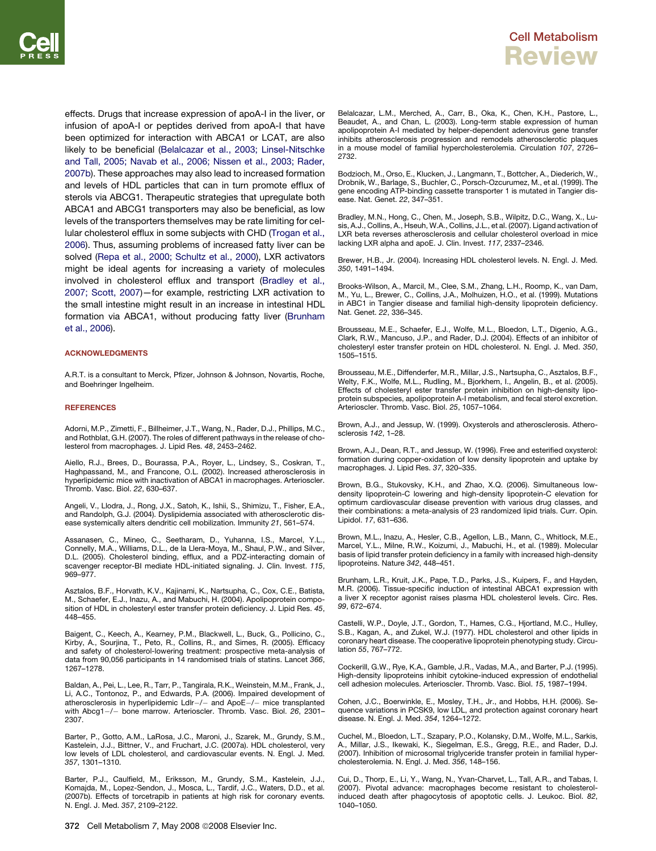<span id="page-7-0"></span>effects. Drugs that increase expression of apoA-I in the liver, or infusion of apoA-I or peptides derived from apoA-I that have been optimized for interaction with ABCA1 or LCAT, are also likely to be beneficial (Belalcazar et al., 2003; Linsel-Nitschke and Tall, 2005; Navab et al., 2006; Nissen et al., 2003; Rader, 2007b). These approaches may also lead to increased formation and levels of HDL particles that can in turn promote efflux of sterols via ABCG1. Therapeutic strategies that upregulate both ABCA1 and ABCG1 transporters may also be beneficial, as low levels of the transporters themselves may be rate limiting for cellular cholesterol efflux in some subjects with CHD ([Trogan et al.,](#page-10-0) [2006](#page-10-0)). Thus, assuming problems of increased fatty liver can be solved ([Repa et al., 2000; Schultz et al., 2000\)](#page-9-0), LXR activators might be ideal agents for increasing a variety of molecules involved in cholesterol efflux and transport (Bradley et al., 2007; Scott, 2007)—for example, restricting LXR activation to the small intestine might result in an increase in intestinal HDL formation via ABCA1, without producing fatty liver (Brunham et al., 2006).

#### ACKNOWLEDGMENTS

A.R.T. is a consultant to Merck, Pfizer, Johnson & Johnson, Novartis, Roche, and Boehringer Ingelheim.

#### **REFERENCES**

Adorni, M.P., Zimetti, F., Billheimer, J.T., Wang, N., Rader, D.J., Phillips, M.C., and Rothblat, G.H. (2007). The roles of different pathways in the release of cholesterol from macrophages. J. Lipid Res. *48*, 2453–2462.

Aiello, R.J., Brees, D., Bourassa, P.A., Royer, L., Lindsey, S., Coskran, T., Haghpassand, M., and Francone, O.L. (2002). Increased atherosclerosis in hyperlipidemic mice with inactivation of ABCA1 in macrophages. Arterioscler. Thromb. Vasc. Biol. *22*, 630–637.

Angeli, V., Llodra, J., Rong, J.X., Satoh, K., Ishii, S., Shimizu, T., Fisher, E.A., and Randolph, G.J. (2004). Dyslipidemia associated with atherosclerotic disease systemically alters dendritic cell mobilization. Immunity *21*, 561–574.

Assanasen, C., Mineo, C., Seetharam, D., Yuhanna, I.S., Marcel, Y.L., Connelly, M.A., Williams, D.L., de la Llera-Moya, M., Shaul, P.W., and Silver, D.L. (2005). Cholesterol binding, efflux, and a PDZ-interacting domain of scavenger receptor-BI mediate HDL-initiated signaling. J. Clin. Invest. *115*, 969–977.

Asztalos, B.F., Horvath, K.V., Kajinami, K., Nartsupha, C., Cox, C.E., Batista, M., Schaefer, E.J., Inazu, A., and Mabuchi, H. (2004). Apolipoprotein composition of HDL in cholesteryl ester transfer protein deficiency. J. Lipid Res. *45*, 448–455.

Baigent, C., Keech, A., Kearney, P.M., Blackwell, L., Buck, G., Pollicino, C., Kirby, A., Sourjina, T., Peto, R., Collins, R., and Simes, R. (2005). Efficacy and safety of cholesterol-lowering treatment: prospective meta-analysis of data from 90,056 participants in 14 randomised trials of statins. Lancet *366*, 1267–1278.

Baldan, A., Pei, L., Lee, R., Tarr, P., Tangirala, R.K., Weinstein, M.M., Frank, J., Li, A.C., Tontonoz, P., and Edwards, P.A. (2006). Impaired development of atherosclerosis in hyperlipidemic LdIr–/– and ApoE–/– mice transplanted with Abcg1-/- bone marrow. Arterioscler. Thromb. Vasc. Biol. 26, 2301-2307.

Barter, P., Gotto, A.M., LaRosa, J.C., Maroni, J., Szarek, M., Grundy, S.M., Kastelein, J.J., Bittner, V., and Fruchart, J.C. (2007a). HDL cholesterol, very low levels of LDL cholesterol, and cardiovascular events. N. Engl. J. Med. *357*, 1301–1310.

Barter, P.J., Caulfield, M., Eriksson, M., Grundy, S.M., Kastelein, J.J., Komajda, M., Lopez-Sendon, J., Mosca, L., Tardif, J.C., Waters, D.D., et al. (2007b). Effects of torcetrapib in patients at high risk for coronary events. N. Engl. J. Med. *357*, 2109–2122.

372 Cell Metabolism 7, May 2008 © 2008 Elsevier Inc.

Belalcazar, L.M., Merched, A., Carr, B., Oka, K., Chen, K.H., Pastore, L., Beaudet, A., and Chan, L. (2003). Long-term stable expression of human apolipoprotein A-I mediated by helper-dependent adenovirus gene transfer inhibits atherosclerosis progression and remodels atherosclerotic plaques in a mouse model of familial hypercholesterolemia. Circulation *107*, 2726– 2732.

Bodzioch, M., Orso, E., Klucken, J., Langmann, T., Bottcher, A., Diederich, W., Drobnik, W., Barlage, S., Buchler, C., Porsch-Ozcurumez, M., et al. (1999). The gene encoding ATP-binding cassette transporter 1 is mutated in Tangier disease. Nat. Genet. *22*, 347–351.

Bradley, M.N., Hong, C., Chen, M., Joseph, S.B., Wilpitz, D.C., Wang, X., Lusis, A.J., Collins, A., Hseuh, W.A., Collins, J.L., et al. (2007). Ligand activation of LXR beta reverses atherosclerosis and cellular cholesterol overload in mice lacking LXR alpha and apoE. J. Clin. Invest. *117*, 2337–2346.

Brewer, H.B., Jr. (2004). Increasing HDL cholesterol levels. N. Engl. J. Med. *350*, 1491–1494.

Brooks-Wilson, A., Marcil, M., Clee, S.M., Zhang, L.H., Roomp, K., van Dam, M., Yu, L., Brewer, C., Collins, J.A., Molhuizen, H.O., et al. (1999). Mutations in ABC1 in Tangier disease and familial high-density lipoprotein deficiency. Nat. Genet. *22*, 336–345.

Brousseau, M.E., Schaefer, E.J., Wolfe, M.L., Bloedon, L.T., Digenio, A.G., Clark, R.W., Mancuso, J.P., and Rader, D.J. (2004). Effects of an inhibitor of cholesteryl ester transfer protein on HDL cholesterol. N. Engl. J. Med. *350*, 1505–1515.

Brousseau, M.E., Diffenderfer, M.R., Millar, J.S., Nartsupha, C., Asztalos, B.F., Welty, F.K., Wolfe, M.L., Rudling, M., Bjorkhem, I., Angelin, B., et al. (2005). Effects of cholesteryl ester transfer protein inhibition on high-density lipoprotein subspecies, apolipoprotein A-I metabolism, and fecal sterol excretion. Arterioscler. Thromb. Vasc. Biol. *25*, 1057–1064.

Brown, A.J., and Jessup, W. (1999). Oxysterols and atherosclerosis. Atherosclerosis *142*, 1–28.

Brown, A.J., Dean, R.T., and Jessup, W. (1996). Free and esterified oxysterol: formation during copper-oxidation of low density lipoprotein and uptake by macrophages. J. Lipid Res. *37*, 320–335.

Brown, B.G., Stukovsky, K.H., and Zhao, X.Q. (2006). Simultaneous lowdensity lipoprotein-C lowering and high-density lipoprotein-C elevation for optimum cardiovascular disease prevention with various drug classes, and their combinations: a meta-analysis of 23 randomized lipid trials. Curr. Opin. Lipidol. *17*, 631–636.

Brown, M.L., Inazu, A., Hesler, C.B., Agellon, L.B., Mann, C., Whitlock, M.E., Marcel, Y.L., Milne, R.W., Koizumi, J., Mabuchi, H., et al. (1989). Molecular basis of lipid transfer protein deficiency in a family with increased high-density lipoproteins. Nature *342*, 448–451.

Brunham, L.R., Kruit, J.K., Pape, T.D., Parks, J.S., Kuipers, F., and Hayden, M.R. (2006). Tissue-specific induction of intestinal ABCA1 expression with a liver X receptor agonist raises plasma HDL cholesterol levels. Circ. Res. *99*, 672–674.

Castelli, W.P., Doyle, J.T., Gordon, T., Hames, C.G., Hjortland, M.C., Hulley, S.B., Kagan, A., and Zukel, W.J. (1977). HDL cholesterol and other lipids in coronary heart disease. The cooperative lipoprotein phenotyping study. Circulation *55*, 767–772.

Cockerill, G.W., Rye, K.A., Gamble, J.R., Vadas, M.A., and Barter, P.J. (1995). High-density lipoproteins inhibit cytokine-induced expression of endothelial cell adhesion molecules. Arterioscler. Thromb. Vasc. Biol. *15*, 1987–1994.

Cohen, J.C., Boerwinkle, E., Mosley, T.H., Jr., and Hobbs, H.H. (2006). Se-quence variations in PCSK9, low LDL, and protection against coronary heart disease. N. Engl. J. Med. *354*, 1264–1272.

Cuchel, M., Bloedon, L.T., Szapary, P.O., Kolansky, D.M., Wolfe, M.L., Sarkis, A., Millar, J.S., Ikewaki, K., Siegelman, E.S., Gregg, R.E., and Rader, D.J. (2007). Inhibition of microsomal triglyceride transfer protein in familial hypercholesterolemia. N. Engl. J. Med. *356*, 148–156.

Cui, D., Thorp, E., Li, Y., Wang, N., Yvan-Charvet, L., Tall, A.R., and Tabas, I. (2007). Pivotal advance: macrophages become resistant to cholesterolinduced death after phagocytosis of apoptotic cells. J. Leukoc. Biol. *82*, 1040–1050.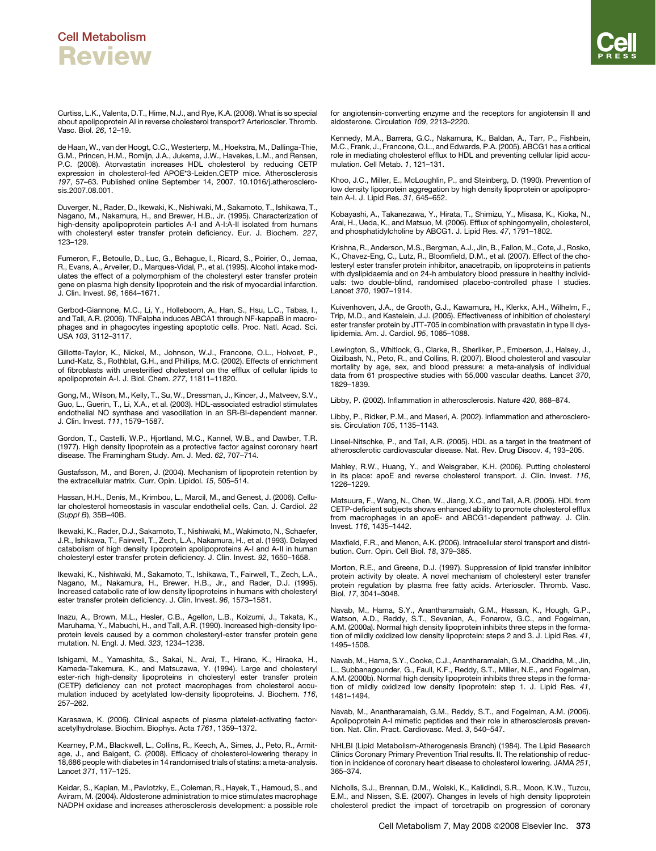<span id="page-8-0"></span>Curtiss, L.K., Valenta, D.T., Hime, N.J., and Rye, K.A. (2006). What is so special about apolipoprotein AI in reverse cholesterol transport? Arterioscler. Thromb. Vasc. Biol. *26*, 12–19.

de Haan, W., van der Hoogt, C.C., Westerterp, M., Hoekstra, M., Dallinga-Thie, G.M., Princen, H.M., Romijn, J.A., Jukema, J.W., Havekes, L.M., and Rensen, P.C. (2008). Atorvastatin increases HDL cholesterol by reducing CETP expression in cholesterol-fed APOE\*3-Leiden.CETP mice. Atherosclerosis *197*, 57–63. Published online September 14, 2007. 10.1016/j.atherosclerosis.2007.08.001.

Duverger, N., Rader, D., Ikewaki, K., Nishiwaki, M., Sakamoto, T., Ishikawa, T., Nagano, M., Nakamura, H., and Brewer, H.B., Jr. (1995). Characterization of high-density apolipoprotein particles A-I and A-I:A-II isolated from humans with cholesteryl ester transfer protein deficiency. Eur. J. Biochem. *227*, 123–129.

Fumeron, F., Betoulle, D., Luc, G., Behague, I., Ricard, S., Poirier, O., Jemaa, R., Evans, A., Arveiler, D., Marques-Vidal, P., et al. (1995). Alcohol intake modulates the effect of a polymorphism of the cholesteryl ester transfer protein gene on plasma high density lipoprotein and the risk of myocardial infarction. J. Clin. Invest. *96*, 1664–1671.

Gerbod-Giannone, M.C., Li, Y., Holleboom, A., Han, S., Hsu, L.C., Tabas, I., and Tall, A.R. (2006). TNFalpha induces ABCA1 through NF-kappaB in macrophages and in phagocytes ingesting apoptotic cells. Proc. Natl. Acad. Sci. USA *103*, 3112–3117.

Gillotte-Taylor, K., Nickel, M., Johnson, W.J., Francone, O.L., Holvoet, P., Lund-Katz, S., Rothblat, G.H., and Phillips, M.C. (2002). Effects of enrichment of fibroblasts with unesterified cholesterol on the efflux of cellular lipids to apolipoprotein A-I. J. Biol. Chem. *277*, 11811–11820.

Gong, M., Wilson, M., Kelly, T., Su, W., Dressman, J., Kincer, J., Matveev, S.V., Guo, L., Guerin, T., Li, X.A., et al. (2003). HDL-associated estradiol stimulates endothelial NO synthase and vasodilation in an SR-BI-dependent manner. J. Clin. Invest. *111*, 1579–1587.

Gordon, T., Castelli, W.P., Hjortland, M.C., Kannel, W.B., and Dawber, T.R. (1977). High density lipoprotein as a protective factor against coronary heart disease. The Framingham Study. Am. J. Med. *62*, 707–714.

Gustafsson, M., and Boren, J. (2004). Mechanism of lipoprotein retention by the extracellular matrix. Curr. Opin. Lipidol. *15*, 505–514.

Hassan, H.H., Denis, M., Krimbou, L., Marcil, M., and Genest, J. (2006). Cellular cholesterol homeostasis in vascular endothelial cells. Can. J. Cardiol. *22* (*Suppl B*), 35B–40B.

Ikewaki, K., Rader, D.J., Sakamoto, T., Nishiwaki, M., Wakimoto, N., Schaefer, J.R., Ishikawa, T., Fairwell, T., Zech, L.A., Nakamura, H., et al. (1993). Delayed catabolism of high density lipoprotein apolipoproteins A-I and A-II in human cholesteryl ester transfer protein deficiency. J. Clin. Invest. *92*, 1650–1658.

Ikewaki, K., Nishiwaki, M., Sakamoto, T., Ishikawa, T., Fairwell, T., Zech, L.A., Nagano, M., Nakamura, H., Brewer, H.B., Jr., and Rader, D.J. (1995). Increased catabolic rate of low density lipoproteins in humans with cholesteryl ester transfer protein deficiency. J. Clin. Invest. *96*, 1573–1581.

Inazu, A., Brown, M.L., Hesler, C.B., Agellon, L.B., Koizumi, J., Takata, K., Maruhama, Y., Mabuchi, H., and Tall, A.R. (1990). Increased high-density lipoprotein levels caused by a common cholesteryl-ester transfer protein gene mutation. N. Engl. J. Med. *323*, 1234–1238.

Ishigami, M., Yamashita, S., Sakai, N., Arai, T., Hirano, K., Hiraoka, H., Kameda-Takemura, K., and Matsuzawa, Y. (1994). Large and cholesteryl ester-rich high-density lipoproteins in cholesteryl ester transfer protein (CETP) deficiency can not protect macrophages from cholesterol accumulation induced by acetylated low-density lipoproteins. J. Biochem. *116*, 257–262.

Karasawa, K. (2006). Clinical aspects of plasma platelet-activating factoracetylhydrolase. Biochim. Biophys. Acta *1761*, 1359–1372.

Kearney, P.M., Blackwell, L., Collins, R., Keech, A., Simes, J., Peto, R., Armitage, J., and Baigent, C. (2008). Efficacy of cholesterol-lowering therapy in 18,686 people with diabetes in 14 randomised trials of statins: a meta-analysis. Lancet *371*, 117–125.

Keidar, S., Kaplan, M., Pavlotzky, E., Coleman, R., Hayek, T., Hamoud, S., and Aviram, M. (2004). Aldosterone administration to mice stimulates macrophage NADPH oxidase and increases atherosclerosis development: a possible role

for angiotensin-converting enzyme and the receptors for angiotensin II and aldosterone. Circulation *109*, 2213–2220.

Kennedy, M.A., Barrera, G.C., Nakamura, K., Baldan, A., Tarr, P., Fishbein, M.C., Frank, J., Francone, O.L., and Edwards, P.A. (2005). ABCG1 has a critical role in mediating cholesterol efflux to HDL and preventing cellular lipid accumulation. Cell Metab. *1*, 121–131.

Khoo, J.C., Miller, E., McLoughlin, P., and Steinberg, D. (1990). Prevention of low density lipoprotein aggregation by high density lipoprotein or apolipoprotein A-I. J. Lipid Res. *31*, 645–652.

Kobayashi, A., Takanezawa, Y., Hirata, T., Shimizu, Y., Misasa, K., Kioka, N., Arai, H., Ueda, K., and Matsuo, M. (2006). Efflux of sphingomyelin, cholesterol, and phosphatidylcholine by ABCG1. J. Lipid Res. *47*, 1791–1802.

Krishna, R., Anderson, M.S., Bergman, A.J., Jin, B., Fallon, M., Cote, J., Rosko, K., Chavez-Eng, C., Lutz, R., Bloomfield, D.M., et al. (2007). Effect of the cholesteryl ester transfer protein inhibitor, anacetrapib, on lipoproteins in patients with dyslipidaemia and on 24-h ambulatory blood pressure in healthy individuals: two double-blind, randomised placebo-controlled phase I studies. Lancet *370*, 1907–1914.

Kuivenhoven, J.A., de Grooth, G.J., Kawamura, H., Klerkx, A.H., Wilhelm, F., Trip, M.D., and Kastelein, J.J. (2005). Effectiveness of inhibition of cholesteryl ester transfer protein by JTT-705 in combination with pravastatin in type II dyslipidemia. Am. J. Cardiol. *95*, 1085–1088.

Lewington, S., Whitlock, G., Clarke, R., Sherliker, P., Emberson, J., Halsey, J., Qizilbash, N., Peto, R., and Collins, R. (2007). Blood cholesterol and vascular mortality by age, sex, and blood pressure: a meta-analysis of individual data from 61 prospective studies with 55,000 vascular deaths. Lancet *370*, 1829–1839.

Libby, P. (2002). Inflammation in atherosclerosis. Nature *420*, 868–874.

Libby, P., Ridker, P.M., and Maseri, A. (2002). Inflammation and atherosclerosis. Circulation *105*, 1135–1143.

Linsel-Nitschke, P., and Tall, A.R. (2005). HDL as a target in the treatment of atherosclerotic cardiovascular disease. Nat. Rev. Drug Discov. *4*, 193–205.

Mahley, R.W., Huang, Y., and Weisgraber, K.H. (2006). Putting cholesterol in its place: apoE and reverse cholesterol transport. J. Clin. Invest. *116*, 1226–1229.

Matsuura, F., Wang, N., Chen, W., Jiang, X.C., and Tall, A.R. (2006). HDL from CETP-deficient subjects shows enhanced ability to promote cholesterol efflux from macrophages in an apoE- and ABCG1-dependent pathway. J. Clin. Invest. *116*, 1435–1442.

Maxfield, F.R., and Menon, A.K. (2006). Intracellular sterol transport and distribution. Curr. Opin. Cell Biol. *18*, 379–385.

Morton, R.E., and Greene, D.J. (1997). Suppression of lipid transfer inhibitor protein activity by oleate. A novel mechanism of cholesteryl ester transfer protein regulation by plasma free fatty acids. Arterioscler. Thromb. Vasc. Biol. *17*, 3041–3048.

Navab, M., Hama, S.Y., Anantharamaiah, G.M., Hassan, K., Hough, G.P., Watson, A.D., Reddy, S.T., Sevanian, A., Fonarow, G.C., and Fogelman, A.M. (2000a). Normal high density lipoprotein inhibits three steps in the formation of mildly oxidized low density lipoprotein: steps 2 and 3. J. Lipid Res. *41*, 1495–1508.

Navab, M., Hama, S.Y., Cooke, C.J., Anantharamaiah, G.M., Chaddha, M., Jin, L., Subbanagounder, G., Faull, K.F., Reddy, S.T., Miller, N.E., and Fogelman, A.M. (2000b). Normal high density lipoprotein inhibits three steps in the formation of mildly oxidized low density lipoprotein: step 1. J. Lipid Res. *41*, 1481–1494.

Navab, M., Anantharamaiah, G.M., Reddy, S.T., and Fogelman, A.M. (2006). Apolipoprotein A-I mimetic peptides and their role in atherosclerosis prevention. Nat. Clin. Pract. Cardiovasc. Med. *3*, 540–547.

NHLBI (Lipid Metabolism-Atherogenesis Branch) (1984). The Lipid Research Clinics Coronary Primary Prevention Trial results. II. The relationship of reduction in incidence of coronary heart disease to cholesterol lowering. JAMA *251*, 365–374.

Nicholls, S.J., Brennan, D.M., Wolski, K., Kalidindi, S.R., Moon, K.W., Tuzcu, E.M., and Nissen, S.E. (2007). Changes in levels of high density lipoprotein cholesterol predict the impact of torcetrapib on progression of coronary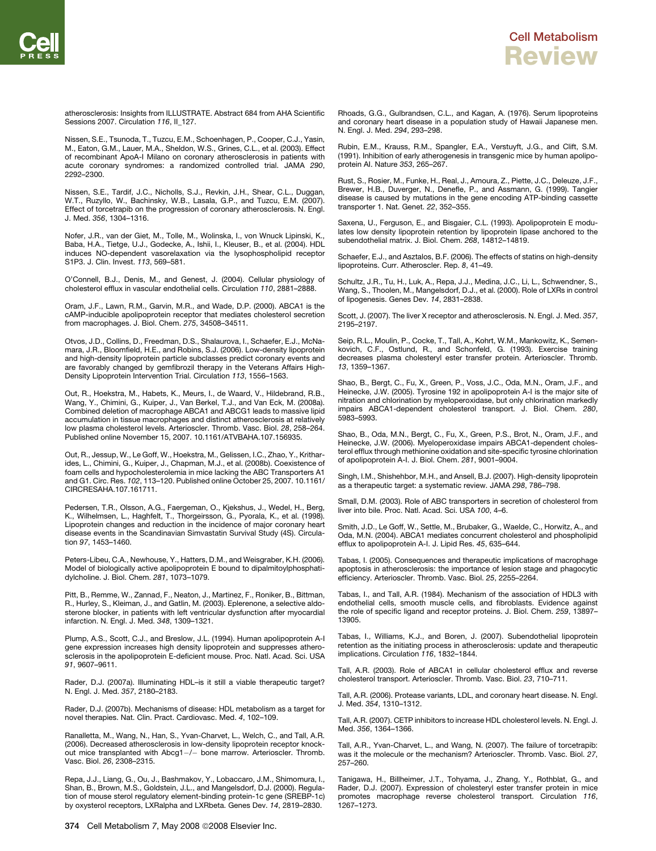<span id="page-9-0"></span>atherosclerosis: Insights from ILLUSTRATE. Abstract 684 from AHA Scientific Sessions 2007. Circulation *116*, II\_127.

Nissen, S.E., Tsunoda, T., Tuzcu, E.M., Schoenhagen, P., Cooper, C.J., Yasin, M., Eaton, G.M., Lauer, M.A., Sheldon, W.S., Grines, C.L., et al. (2003). Effect of recombinant ApoA-I Milano on coronary atherosclerosis in patients with acute coronary syndromes: a randomized controlled trial. JAMA *290*, 2292–2300.

Nissen, S.E., Tardif, J.C., Nicholls, S.J., Revkin, J.H., Shear, C.L., Duggan, W.T., Ruzyllo, W., Bachinsky, W.B., Lasala, G.P., and Tuzcu, E.M. (2007). Effect of torcetrapib on the progression of coronary atherosclerosis. N. Engl. J. Med. *356*, 1304–1316.

Nofer, J.R., van der Giet, M., Tolle, M., Wolinska, I., von Wnuck Lipinski, K., Baba, H.A., Tietge, U.J., Godecke, A., Ishii, I., Kleuser, B., et al. (2004). HDL induces NO-dependent vasorelaxation via the lysophospholipid receptor S1P3. J. Clin. Invest. *113*, 569–581.

O'Connell, B.J., Denis, M., and Genest, J. (2004). Cellular physiology of cholesterol efflux in vascular endothelial cells. Circulation *110*, 2881–2888.

Oram, J.F., Lawn, R.M., Garvin, M.R., and Wade, D.P. (2000). ABCA1 is the cAMP-inducible apolipoprotein receptor that mediates cholesterol secretion from macrophages. J. Biol. Chem. *275*, 34508–34511.

Otvos, J.D., Collins, D., Freedman, D.S., Shalaurova, I., Schaefer, E.J., McNamara, J.R., Bloomfield, H.E., and Robins, S.J. (2006). Low-density lipoprotein and high-density lipoprotein particle subclasses predict coronary events and are favorably changed by gemfibrozil therapy in the Veterans Affairs High-Density Lipoprotein Intervention Trial. Circulation *113*, 1556–1563.

Out, R., Hoekstra, M., Habets, K., Meurs, I., de Waard, V., Hildebrand, R.B., Wang, Y., Chimini, G., Kuiper, J., Van Berkel, T.J., and Van Eck, M. (2008a). Combined deletion of macrophage ABCA1 and ABCG1 leads to massive lipid accumulation in tissue macrophages and distinct atherosclerosis at relatively low plasma cholesterol levels. Arterioscler. Thromb. Vasc. Biol. *28*, 258–264. Published online November 15, 2007. 10.1161/ATVBAHA.107.156935.

Out, R., Jessup, W., Le Goff, W., Hoekstra, M., Gelissen, I.C., Zhao, Y., Kritharides, L., Chimini, G., Kuiper, J., Chapman, M.J., et al. (2008b). Coexistence of foam cells and hypocholesterolemia in mice lacking the ABC Transporters A1 and G1. Circ. Res. *102*, 113–120. Published online October 25, 2007. 10.1161/ CIRCRESAHA.107.161711.

Pedersen, T.R., Olsson, A.G., Faergeman, O., Kjekshus, J., Wedel, H., Berg, K., Wilhelmsen, L., Haghfelt, T., Thorgeirsson, G., Pyorala, K., et al. (1998). Lipoprotein changes and reduction in the incidence of major coronary heart disease events in the Scandinavian Simvastatin Survival Study (4S). Circulation *97*, 1453–1460.

Peters-Libeu, C.A., Newhouse, Y., Hatters, D.M., and Weisgraber, K.H. (2006). Model of biologically active apolipoprotein E bound to dipalmitoylphosphatidylcholine. J. Biol. Chem. *281*, 1073–1079.

Pitt, B., Remme, W., Zannad, F., Neaton, J., Martinez, F., Roniker, B., Bittman, R., Hurley, S., Kleiman, J., and Gatlin, M. (2003). Eplerenone, a selective aldosterone blocker, in patients with left ventricular dysfunction after myocardial infarction. N. Engl. J. Med. *348*, 1309–1321.

Plump, A.S., Scott, C.J., and Breslow, J.L. (1994). Human apolipoprotein A-I gene expression increases high density lipoprotein and suppresses atherosclerosis in the apolipoprotein E-deficient mouse. Proc. Natl. Acad. Sci. USA *91*, 9607–9611.

Rader, D.J. (2007a). Illuminating HDL–is it still a viable therapeutic target? N. Engl. J. Med. *357*, 2180–2183.

Rader, D.J. (2007b). Mechanisms of disease: HDL metabolism as a target for novel therapies. Nat. Clin. Pract. Cardiovasc. Med. *4*, 102–109.

Ranalletta, M., Wang, N., Han, S., Yvan-Charvet, L., Welch, C., and Tall, A.R. (2006). Decreased atherosclerosis in low-density lipoprotein receptor knockout mice transplanted with Abcg1-/- bone marrow. Arterioscler. Thromb. Vasc. Biol. *26*, 2308–2315.

Repa, J.J., Liang, G., Ou, J., Bashmakov, Y., Lobaccaro, J.M., Shimomura, I., Shan, B., Brown, M.S., Goldstein, J.L., and Mangelsdorf, D.J. (2000). Regulation of mouse sterol regulatory element-binding protein-1c gene (SREBP-1c) by oxysterol receptors, LXRalpha and LXRbeta. Genes Dev. *14*, 2819–2830.

374 Cell Metabolism 7, May 2008 © 2008 Elsevier Inc.

Rhoads, G.G., Gulbrandsen, C.L., and Kagan, A. (1976). Serum lipoproteins and coronary heart disease in a population study of Hawaii Japanese men. N. Engl. J. Med. *294*, 293–298.

Rubin, E.M., Krauss, R.M., Spangler, E.A., Verstuyft, J.G., and Clift, S.M. (1991). Inhibition of early atherogenesis in transgenic mice by human apolipoprotein AI. Nature *353*, 265–267.

Rust, S., Rosier, M., Funke, H., Real, J., Amoura, Z., Piette, J.C., Deleuze, J.F., Brewer, H.B., Duverger, N., Denefle, P., and Assmann, G. (1999). Tangier disease is caused by mutations in the gene encoding ATP-binding cassette transporter 1. Nat. Genet. *22*, 352–355.

Saxena, U., Ferguson, E., and Bisgaier, C.L. (1993). Apolipoprotein E modulates low density lipoprotein retention by lipoprotein lipase anchored to the subendothelial matrix. J. Biol. Chem. *268*, 14812–14819.

Schaefer, E.J., and Asztalos, B.F. (2006). The effects of statins on high-density lipoproteins. Curr. Atheroscler. Rep. *8*, 41–49.

Schultz, J.R., Tu, H., Luk, A., Repa, J.J., Medina, J.C., Li, L., Schwendner, S., Wang, S., Thoolen, M., Mangelsdorf, D.J., et al. (2000). Role of LXRs in control of lipogenesis. Genes Dev. *14*, 2831–2838.

Scott, J. (2007). The liver X receptor and atherosclerosis. N. Engl. J. Med. *357*, 2195–2197.

Seip, R.L., Moulin, P., Cocke, T., Tall, A., Kohrt, W.M., Mankowitz, K., Semenkovich, C.F., Ostlund, R., and Schonfeld, G. (1993). Exercise training decreases plasma cholesteryl ester transfer protein. Arterioscler. Thromb. *13*, 1359–1367.

Shao, B., Bergt, C., Fu, X., Green, P., Voss, J.C., Oda, M.N., Oram, J.F., and Heinecke, J.W. (2005). Tyrosine 192 in apolipoprotein A-I is the major site of nitration and chlorination by myeloperoxidase, but only chlorination markedly impairs ABCA1-dependent cholesterol transport. J. Biol. Chem. *280*, 5983–5993.

Shao, B., Oda, M.N., Bergt, C., Fu, X., Green, P.S., Brot, N., Oram, J.F., and Heinecke, J.W. (2006). Myeloperoxidase impairs ABCA1-dependent cholesterol efflux through methionine oxidation and site-specific tyrosine chlorination of apolipoprotein A-I. J. Biol. Chem. *281*, 9001–9004.

Singh, I.M., Shishehbor, M.H., and Ansell, B.J. (2007). High-density lipoprotein as a therapeutic target: a systematic review. JAMA *298*, 786–798.

Small, D.M. (2003). Role of ABC transporters in secretion of cholesterol from liver into bile. Proc. Natl. Acad. Sci. USA *100*, 4–6.

Smith, J.D., Le Goff, W., Settle, M., Brubaker, G., Waelde, C., Horwitz, A., and Oda, M.N. (2004). ABCA1 mediates concurrent cholesterol and phospholipid efflux to apolipoprotein A-I. J. Lipid Res. *45*, 635–644.

Tabas, I. (2005). Consequences and therapeutic implications of macrophage apoptosis in atherosclerosis: the importance of lesion stage and phagocytic efficiency. Arterioscler. Thromb. Vasc. Biol. *25*, 2255–2264.

Tabas, I., and Tall, A.R. (1984). Mechanism of the association of HDL3 with endothelial cells, smooth muscle cells, and fibroblasts. Evidence against the role of specific ligand and receptor proteins. J. Biol. Chem. *259*, 13897– 13905.

Tabas, I., Williams, K.J., and Boren, J. (2007). Subendothelial lipoprotein retention as the initiating process in atherosclerosis: update and therapeutic implications. Circulation *116*, 1832–1844.

Tall, A.R. (2003). Role of ABCA1 in cellular cholesterol efflux and reverse cholesterol transport. Arterioscler. Thromb. Vasc. Biol. *23*, 710–711.

Tall, A.R. (2006). Protease variants, LDL, and coronary heart disease. N. Engl. J. Med. *354*, 1310–1312.

Tall, A.R. (2007). CETP inhibitors to increase HDL cholesterol levels. N. Engl. J. Med. *356*, 1364–1366.

Tall, A.R., Yvan-Charvet, L., and Wang, N. (2007). The failure of torcetrapib: was it the molecule or the mechanism? Arterioscler. Thromb. Vasc. Biol. *27*, 257–260.

Tanigawa, H., Billheimer, J.T., Tohyama, J., Zhang, Y., Rothblat, G., and Rader, D.J. (2007). Expression of cholesteryl ester transfer protein in mice promotes macrophage reverse cholesterol transport. Circulation *116*, 1267–1273.